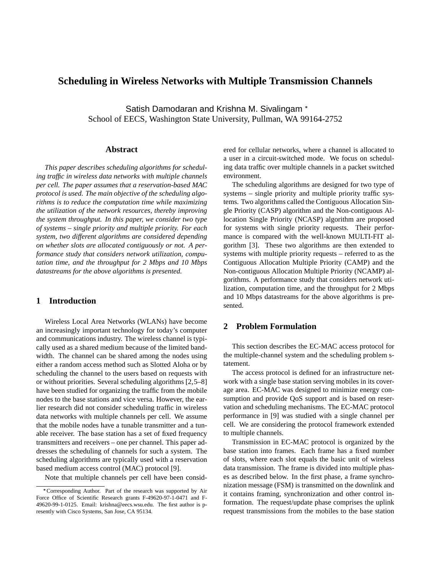# **Scheduling in Wireless Networks with Multiple Transmission Channels**

Satish Damodaran and Krishna M. Sivalingam School of EECS, Washington State University, Pullman, WA 99164-2752

#### **Abstract**

*This paper describes scheduling algorithms for scheduling traffic in wireless data networks with multiple channels per cell. The paper assumes that a reservation-based MAC protocol is used. The main objective of the scheduling algorithms is to reduce the computation time while maximizing the utilization of the network resources, thereby improving the system throughput. In this paper, we consider two type of systems – single priority and multiple priority. For each system, two different algorithms are considered depending on whether slots are allocated contiguously or not. A performance study that considers network utilization, computation time, and the throughput for 2 Mbps and 10 Mbps datastreams for the above algorithms is presented.*

### **1 Introduction**

Wireless Local Area Networks (WLANs) have become an increasingly important technology for today's computer and communications industry. The wireless channel is typically used as a shared medium because of the limited bandwidth. The channel can be shared among the nodes using either a random access method such as Slotted Aloha or by scheduling the channel to the users based on requests with or without priorities. Several scheduling algorithms [2,5–8] have been studied for organizing the traffic from the mobile nodes to the base stations and vice versa. However, the earlier research did not consider scheduling traffic in wireless data networks with multiple channels per cell. We assume that the mobile nodes have a tunable transmitter and a tunable receiver. The base station has a set of fixed frequency transmitters and receivers – one per channel. This paper addresses the scheduling of channels for such a system. The scheduling algorithms are typically used with a reservation based medium access control (MAC) protocol [9].

Note that multiple channels per cell have been consid-

ered for cellular networks, where a channel is allocated to a user in a circuit-switched mode. We focus on scheduling data traffic over multiple channels in a packet switched environment.

The scheduling algorithms are designed for two type of systems – single priority and multiple priority traffic systems. Two algorithms called the Contiguous Allocation Single Priority (CASP) algorithm and the Non-contiguous Allocation Single Priority (NCASP) algorithm are proposed for systems with single priority requests. Their performance is compared with the well-known MULTI-FIT algorithm [3]. These two algorithms are then extended to systems with multiple priority requests – referred to as the Contiguous Allocation Multiple Priority (CAMP) and the Non-contiguous Allocation Multiple Priority (NCAMP) algorithms. A performance study that considers network utilization, computation time, and the throughput for 2 Mbps and 10 Mbps datastreams for the above algorithms is presented.

## **2 Problem Formulation**

This section describes the EC-MAC access protocol for the multiple-channel system and the scheduling problem statement.

The access protocol is defined for an infrastructure network with a single base station serving mobiles in its coverage area. EC-MAC was designed to minimize energy consumption and provide QoS support and is based on reservation and scheduling mechanisms. The EC-MAC protocol performance in [9] was studied with a single channel per cell. We are considering the protocol framework extended to multiple channels.

Transmission in EC-MAC protocol is organized by the base station into frames. Each frame has a fixed number of slots, where each slot equals the basic unit of wireless data transmission. The frame is divided into multiple phases as described below. In the first phase, a frame synchronization message (FSM) is transmitted on the downlink and it contains framing, synchronization and other control information. The request/update phase comprises the uplink request transmissions from the mobiles to the base station

Corresponding Author. Part of the research was supported by Air Force Office of Scientific Research grants F-49620-97-1-0471 and F-49620-99-1-0125. Email: krishna@eecs.wsu.edu. The first author is presently with Cisco Systems, San Jose, CA 95134.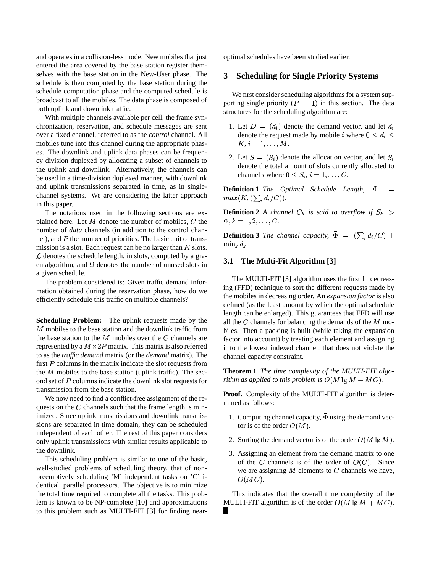and operates in a collision-less mode. New mobiles that just entered the area covered by the base station register themselves with the base station in the New-User phase. The schedule is then computed by the base station during the schedule computation phase and the computed schedule is broadcast to all the mobiles. The data phase is composed of both uplink and downlink traffic.

With multiple channels available per cell, the frame synchronization, reservation, and schedule messages are sent over a fixed channel, referred to as the *control* channel. All mobiles tune into this channel during the appropriate phases. The downlink and uplink data phases can be frequency division duplexed by allocating a subset of channels to the uplink and downlink. Alternatively, the channels can be used in a time-division duplexed manner, with downlink and uplink transmissions separated in time, as in singlechannel systems. We are considering the latter approach in this paper.

The notations used in the following sections are explained here. Let M denote the number of mobiles, C the  $\Phi, k =$ number of *data* channels (in addition to the control channel), and  $P$  the number of priorities. The basic unit of transmission is a slot. Each request can be no larger than  $K$  slots.  $\mathcal L$  denotes the schedule length, in slots, computed by a given algorithm, and  $\Omega$  denotes the number of unused slots in a given schedule.

The problem considered is: Given traffic demand information obtained during the reservation phase, how do we efficiently schedule this traffic on multiple channels?

**Scheduling Problem:** The uplink requests made by the  $M$  mobiles to the base station and the downlink traffic from the base station to the  $M$  mobiles over the  $C$  channels are represented by a  $M \times 2P$  matrix. This matrix is also referred to as the *traffic demand* matrix (or the *demand* matrix). The first  $P$  columns in the matrix indicate the slot requests from the  $M$  mobiles to the base station (uplink traffic). The second set of  $P$  columns indicate the downlink slot requests for transmission from the base station.

We now need to find a conflict-free assignment of the requests on the  $C$  channels such that the frame length is minimized. Since uplink transmissions and downlink transmissions are separated in time domain, they can be scheduled independent of each other. The rest of this paper considers only uplink transmissions with similar results applicable to the downlink.

This scheduling problem is similar to one of the basic, well-studied problems of scheduling theory, that of nonpreemptively scheduling 'M' independent tasks on 'C' identical, parallel processors. The objective is to minimize the total time required to complete all the tasks. This problem is known to be NP-complete [10] and approximations to this problem such as MULTI-FIT [3] for finding nearoptimal schedules have been studied earlier.

#### **3 Scheduling for Single Priority Systems**

We first consider scheduling algorithms for a system supporting single priority ( $P = 1$ ) in this section. The data structures for the scheduling algorithm are:

- 1. Let  $D = (d_i)$  denote the demand vector, and let  $d_i$ denote the request made by mobile *i* where  $0 \le d_i \le$  $K, i = 1, \ldots, M.$
- 2. Let  $S = (S_i)$  denote the allocation vector, and let  $S_i$ denote the total amount of slots currently allocated to channel *i* where  $0 \leq S_i$ ,  $i = 1, \ldots, C$ .

**Definition 1** *The Optimal Schedule Length,*  $\Phi$  =  $max(K, (\sum_i d_i/C)).$ 

**Definition 2** *A channel*  $C_k$  *is said to overflow if*  $S_k$  >  $\Phi, k = 1, 2, \ldots, C.$ 

**Definition 3** *The channel capacity*,  $\bar{\Phi} = (\sum_i d_i/C) +$  $\min_i d_i$ .

### **3.1 The Multi-Fit Algorithm [3]**

The MULTI-FIT [3] algorithm uses the first fit decreasing (FFD) technique to sort the different requests made by the mobiles in decreasing order. An *expansion factor* is also defined (as the least amount by which the optimal schedule length can be enlarged). This guarantees that FFD will use all the  $C$  channels for balancing the demands of the  $M$  mobiles. Then a packing is built (while taking the expansion factor into account) by treating each element and assigning it to the lowest indexed channel, that does not violate the channel capacity constraint.

**Theorem 1** *The time complexity of the MULTI-FIT algorithm as applied to this problem is*  $O(M \lg M + MC)$ .

**Proof.** Complexity of the MULTI-FIT algorithm is determined as follows:

- 1. Computing channel capacity,  $\bar{\Phi}$  using the demand vector is of the order  $O(M)$ .
- 2. Sorting the demand vector is of the order  $O(M \lg M)$ .
- 3. Assigning an element from the demand matrix to one of the C channels is of the order of  $O(C)$ . Since we are assigning  $M$  elements to  $C$  channels we have,  $O(MC)$ .

This indicates that the overall time complexity of the MULTI-FIT algorithm is of the order  $O(M \lg M + MC)$ .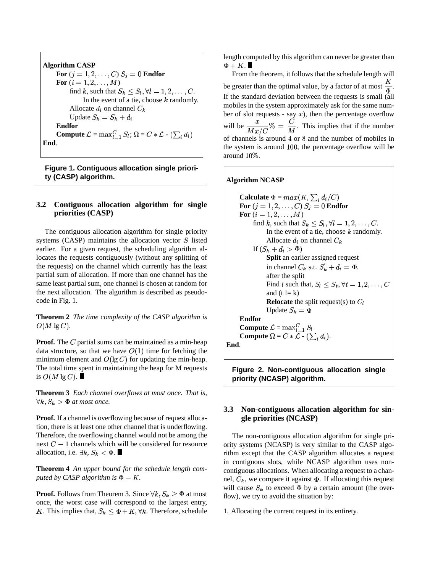**Algorithm CASP** For  $(j = 1, 2, \ldots, C)$   $S_j = 0$  **Endfor For**  $(i = 1, 2, ..., M)$ find k, such that  $S_k \leq S_l, \forall l = 1, 2, \ldots, C$ . In the event of a tie, choose  $k$  randomly. Allocate  $d_i$  on channel  $C_k$ Update  $S_k = S_k + d_i$ **Endfor Compute**  $\mathcal{L} = \max_{l=1}^C S_l$ ;  $\Omega = C * \mathcal{L}$  -  $(\sum_i d_i)$ **End**.

**Figure 1. Contiguous allocation single priority (CASP) algorithm.**

#### **3.2 Contiguous allocation algorithm for single priorities (CASP)**

The contiguous allocation algorithm for single priority systems (CASP) maintains the allocation vector  $S$  listed earlier. For a given request, the scheduling algorithm allocates the requests contiguously (without any splitting of the requests) on the channel which currently has the least partial sum of allocation. If more than one channel has the same least partial sum, one channel is chosen at random for the next allocation. The algorithm is described as pseudocode in Fig. 1.

**Theorem 2** *The time complexity of the CASP algorithm is*  $O(M \lg C)$ .

**Proof.** The  $C$  partial sums can be maintained as a min-heap data structure, so that we have  $O(1)$  time for fetching the minimum element and  $O(\lg C)$  for updating the min-heap. The total time spent in maintaining the heap for M requests is  $O(M \lg C)$ .

**Theorem 3** *Each channel overflows at most once. That is,*  $\forall k, S_k > \Phi$  *at most once.* 

**Proof.** If a channel is overflowing because of request allocation, there is at least one other channel that is underflowing. Therefore, the overflowing channel would not be among the next  $C-1$  channels which will be considered for resource allocation, i.e.  $\exists k, S_k < \Phi$ .

**Theorem 4** *An upper bound for the schedule length computed by CASP algorithm is*  $\Phi + K$ .

**Proof.** Follows from Theorem 3. Since  $\forall k, S_k \geq \Phi$  at most once, the worst case will correspond to the largest entry, K. This implies that,  $S_k \leq \Phi + K, \forall k$ . Therefore, schedule

length computed by this algorithm can never be greater than  $\Phi + K$ .

From the theorem, it follows that the schedule length will be greater than the optimal value, by a factor of at most  $\frac{1}{r}$ . If the standard deviation between the requests is small (all mobiles in the system approximately ask for the same number of slot requests - say  $x$ ), then the percentage overflow will be  $\frac{x}{Mx/C}\% = \frac{C}{M}$ . This  $\% = \frac{6}{14}$ . This implies that if the number of channels is around  $4$  or  $8$  and the number of mobiles in the system is around  $100$ , the percentage overflow will be around  $10\%$ .

#### **Algorithm NCASP**

**Calculate**  $\Phi = max(K, \sum_i d_i / C)$ For  $(j = 1, 2, \ldots, C)$   $S_j = 0$  **Endfor For**  $(i = 1, 2, ..., M)$ find k, such that  $S_k \leq S_l$ ,  $\forall l = 1, 2, \ldots, C$ . In the event of a tie, choose  $k$  randomly. Allocate  $d_i$  on channel  $C_k$ If  $(S_k + d_i > \Phi)$ **Split** an earlier assigned request in channel  $C_k$  s.t.  $S'_k + d_i = \Phi$ . after the split Find l such that,  $S_l \leq S_t, \forall t = 1, 2, \ldots, C$ and  $(t != k)$ **Relocate** the split request(s) to  $C_l$ Update  $S_k = \Phi$ **Endfor Compute**  $\mathcal{L} = \max_{l=1}^C S_l$ **Compute**  $\Omega = C * \mathcal{L}$  -  $(\sum_i d_i)$ . **End**.

**Figure 2. Non-contiguous allocation single priority (NCASP) algorithm.**

#### **3.3 Non-contiguous allocation algorithm for single priorities (NCASP)**

The non-contiguous allocation algorithm for single priority systems (NCASP) is very similar to the CASP algorithm except that the CASP algorithm allocates a request in contiguous slots, while NCASP algorithm uses noncontiguous allocations. When allocating a request to a channel,  $C_k$ , we compare it against  $\Phi$ . If allocating this request will cause  $S_k$  to exceed  $\Phi$  by a certain amount (the overflow), we try to avoid the situation by:

1. Allocating the current request in its entirety.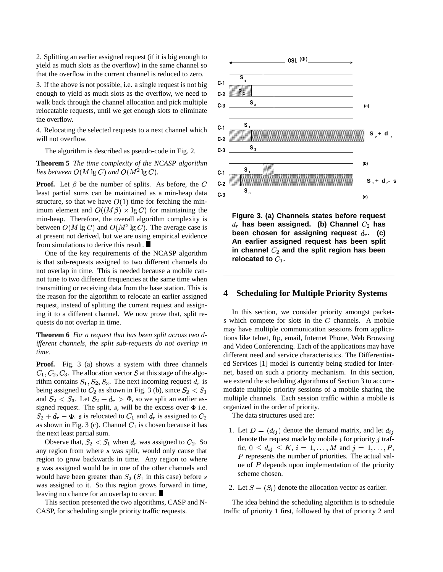2. Splitting an earlier assigned request (if it is big enough to yield as much slots as the overflow) in the same channel so that the overflow in the current channel is reduced to zero.

3. If the above is not possible, i.e. a single request is not big enough to yield as much slots as the overflow, we need to walk back through the channel allocation and pick multiple relocatable requests, until we get enough slots to eliminate the overflow.

4. Relocating the selected requests to a next channel which will not overflow.

The algorithm is described as pseudo-code in Fig. 2.

**Theorem 5** *The time complexity of the NCASP algorithm* lies between  $O(M\lg C)$  and  $O(M^2\lg C)$ .

**Proof.** Let  $\beta$  be the number of splits. As before, the C least partial sums can be maintained as a min-heap data structure, so that we have  $O(1)$  time for fetching the minimum element and  $O((M\beta) \times \lg C)$  for maintaining the min-heap. Therefore, the overall algorithm complexity is between  $O(M \lg C)$  and  $O(M^2 \lg C)$ . The average case is at present not derived, but we are using empirical evidence from simulations to derive this result.

One of the key requirements of the NCASP algorithm is that sub-requests assigned to two different channels do not overlap in time. This is needed because a mobile cannot tune to two different frequencies at the same time when transmitting or receiving data from the base station. This is the reason for the algorithm to relocate an earlier assigned request, instead of splitting the current request and assigning it to a different channel. We now prove that, split requests do not overlap in time.

**Theorem 6** *For a request that has been split across two different channels, the split sub-requests do not overlap in time.*

Proof. Fig. 3 (a) shows a system with three channels  $C_1, C_2, C_3$ . The allocation vector S at this stage of the algorithm contains  $S_1, S_2, S_3$ . The next incoming request  $d_r$  is being assigned to  $C_2$  as shown in Fig. 3 (b), since  $S_2 < S_1$ and  $S_2 < S_3$ . Let  $S_2 + d_r > \Phi$ , so we split an earlier assigned request. The split,  $s$ , will be the excess over  $\Phi$  i.e.  $S_2 + d_r - \Phi$ . s is relocated to  $C_1$  and  $d_r$  is assigned to  $C_2$ as shown in Fig. 3 (c). Channel  $C_1$  is chosen because it has the next least partial sum.

Observe that,  $S_2 < S_1$  when  $d_r$  was assigned to  $C_2$ . So any region from where  $s$  was split, would only cause that region to grow backwards in time. Any region to where s was assigned would be in one of the other channels and would have been greater than  $S_2$  ( $S_1$  in this case) before s was assigned to it. So this region grows forward in time, leaving no chance for an overlap to occur.

This section presented the two algorithms, CASP and N-CASP, for scheduling single priority traffic requests.



**Figure 3. (a) Channels states before request**  $d_r$  has been assigned. (b) Channel  $C_2$  has **been** chosen for assigning request  $d_r$ . (c) **An earlier assigned request has been split in channel and the split region has been** relocated to  $C_1$ .

### **4 Scheduling for Multiple Priority Systems**

In this section, we consider priority amongst packets which compete for slots in the  $C$  channels. A mobile may have multiple communication sessions from applications like telnet, ftp, email, Internet Phone, Web Browsing and Video Conferencing. Each of the applications may have different need and service characteristics. The Differentiated Services [1] model is currently being studied for Internet, based on such a priority mechanism. In this section, we extend the scheduling algorithms of Section 3 to accommodate multiple priority sessions of a mobile sharing the multiple channels. Each session traffic within a mobile is organized in the order of priority.

The data structures used are:

- 1. Let  $D = (d_{ij})$  denote the demand matrix, and let  $d_{ij}$ denote the request made by mobile  $i$  for priority  $j$  traffic,  $0 \leq d_{ij} \leq K$ ,  $i = 1, \ldots, M$  and  $j = 1, \ldots, P$ ,  $P$  represents the number of priorities. The actual value of  $P$  depends upon implementation of the priority scheme chosen.
- 2. Let  $S = (S_i)$  denote the allocation vector as earlier.

The idea behind the scheduling algorithm is to schedule traffic of priority 1 first, followed by that of priority 2 and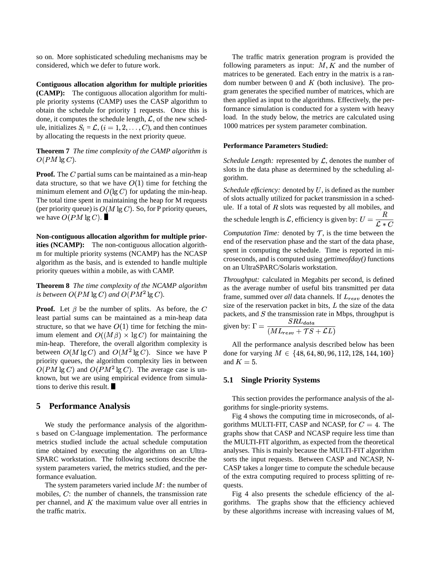so on. More sophisticated scheduling mechanisms may be considered, which we defer to future work.

**Contiguous allocation algorithm for multiple priorities (CAMP):** The contiguous allocation algorithm for multiple priority systems (CAMP) uses the CASP algorithm to obtain the schedule for priority 1 requests. Once this is done, it computes the schedule length,  $\mathcal{L}$ , of the new schedule, initializes  $S_i = \mathcal{L}$ ,  $(i = 1, 2, \dots, C)$ , and then continues by allocating the requests in the next priority queue.

**Theorem 7** *The time complexity of the CAMP algorithm is*  $O(PM \lg C)$ .

**Proof.** The  $C$  partial sums can be maintained as a min-heap data structure, so that we have  $O(1)$  time for fetching the minimum element and  $O(\lg C)$  for updating the min-heap. The total time spent in maintaining the heap for M requests (per priority queue) is  $O(M \lg C)$ . So, for P priority queues, we have  $O(PM \lg C)$ .

**Non-contiguous allocation algorithm for multiple priorities (NCAMP):** The non-contiguous allocation algorithm for multiple priority systems (NCAMP) has the NCASP algorithm as the basis, and is extended to handle multiple priority queues within a mobile, as with CAMP.

**Theorem 8** *The time complexity of the NCAMP algorithm* is between  $O(PM \lg C)$  and  $O(PM^2 \lg C)$ .

**Proof.** Let  $\beta$  be the number of splits. As before, the C least partial sums can be maintained as a min-heap data structure, so that we have  $O(1)$  time for fetching the minimum element and  $O((M\beta) \times \lg C)$  for maintaining the min-heap. Therefore, the overall algorithm complexity is between  $O(M \lg C)$  and  $O(M^2 \lg C)$ . Since we have P priority queues, the algorithm complexity lies in between  $O(PM \lg C)$  and  $O(PM^2 \lg C)$ . The average case is unknown, but we are using empirical evidence from simulations to derive this result.

#### **5 Performance Analysis**

We study the performance analysis of the algorithms based on C-language implementation. The performance metrics studied include the actual schedule computation time obtained by executing the algorithms on an Ultra-SPARC workstation. The following sections describe the system parameters varied, the metrics studied, and the performance evaluation.

The system parameters varied include  $M$ : the number of mobiles,  $C$ : the number of channels, the transmission rate per channel, and  $K$  the maximum value over all entries in the traffic matrix.

The traffic matrix generation program is provided the following parameters as input:  $M, K$  and the number of matrices to be generated. Each entry in the matrix is a random number between  $0$  and  $K$  (both inclusive). The program generates the specified number of matrices, which are then applied as input to the algorithms. Effectively, the performance simulation is conducted for a system with heavy load. In the study below, the metrics are calculated using 1000 matrices per system parameter combination.

#### **Performance Parameters Studied:**

Schedule Length: represented by  $\mathcal{L}$ , denotes the number of slots in the data phase as determined by the scheduling algorithm.

*Schedule efficiency:* denoted by  $U$ , is defined as the number of slots actually utilized for packet transmission in a schedule. If a total of  $R$  slots was requested by all mobiles, and

the schedule length is  $\mathcal{L}$ , efficiency is given by:  $U = \frac{1}{\mathcal{L} * C}$ 

*Computation Time:* denoted by  $T$ , is the time between the end of the reservation phase and the start of the data phase, spent in computing the schedule. Time is reported in microseconds, and is computed using *gettimeofday()* functions on an UltraSPARC/Solaris workstation.

*Throughput:* calculated in Megabits per second, is defined as the average number of useful bits transmitted per data frame, summed over *all* data channels. If  $L_{resv}$  denotes the size of the reservation packet in bits,  $L$  the size of the data packets, and  $S$  the transmission rate in Mbps, throughput is given by:  $\Gamma = \frac{SRL_{data}}{(ML_{resv} + \mathcal{T}S + \mathcal{L}L)}$ 

All the performance analysis described below has been done for varying  $M \in \{48, 64, 80, 96, 112, 128, 144, 160\}$ and  $K = 5$ .

#### **5.1 Single Priority Systems**

This section provides the performance analysis of the algorithms for single-priority systems.

 quests. Fig 4 shows the computing time in microseconds, of algorithms MULTI-FIT, CASP and NCASP, for  $C = 4$ . The graphs show that CASP and NCASP require less time than the MULTI-FIT algorithm, as expected from the theoretical analyses. This is mainly because the MULTI-FIT algorithm sorts the input requests. Between CASP and NCASP, N-CASP takes a longer time to compute the schedule because of the extra computing required to process splitting of re-

Fig 4 also presents the schedule efficiency of the algorithms. The graphs show that the efficiency achieved by these algorithms increase with increasing values of M,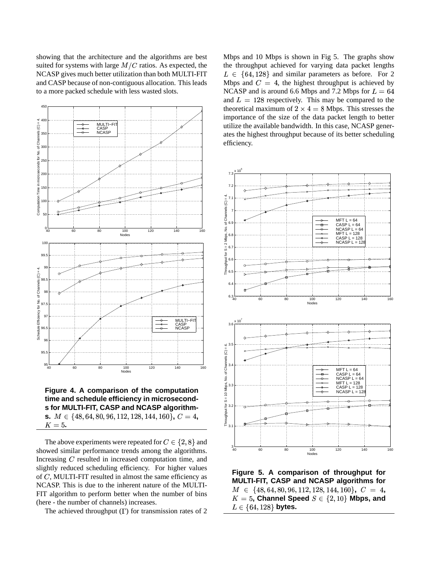showing that the architecture and the algorithms are best suited for systems with large  $M/C$  ratios. As expected, the NCASP gives much better utilization than both MULTI-FIT and CASP because of non-contiguous allocation. This leads to a more packed schedule with less wasted slots.



**time and schedule efficiency in microseconds for MULTI-FIT, CASP and NCASP algorithms.**  $M \in \{48, 64, 80, 96, 112, 128, 144, 160\}$ ,  $C = 4$ ,  $K=5$ .

The above experiments were repeated for  $C \in \{2, 8\}$  and showed similar performance trends among the algorithms. Increasing  $C$  resulted in increased computation time, and slightly reduced scheduling efficiency. For higher values of  $C$ , MULTI-FIT resulted in almost the same efficiency as NCASP. This is due to the inherent nature of the MULTI-FIT algorithm to perform better when the number of bins (here - the number of channels) increases.

The achieved throughput  $( \Gamma )$  for transmission rates of 2

Mbps and 10 Mbps is shown in Fig 5. The graphs show the throughput achieved for varying data packet lengths  $L \in \{64, 128\}$  and similar parameters as before. For 2 Mbps and  $C = 4$ , the highest throughput is achieved by NCASP and is around 6.6 Mbps and 7.2 Mbps for  $L = 64$ and  $L = 128$  respectively. This may be compared to the theoretical maximum of  $2 \times 4 = 8$  Mbps. This stresses the importance of the size of the data packet length to better utilize the available bandwidth. In this case, NCASP generates the highest throughput because of its better scheduling efficiency.



**Figure 5. A comparison of throughput for MULTI-FIT, CASP and NCASP algorithms for**  $M \in \{48, 64, 80, 96, 112, 128, 144, 160\}, C = 4,$  $K=5$ , Channel Speed  $S\in\{2,10\}$  Mbps, and  $L \in \{64, 128\}$  bytes.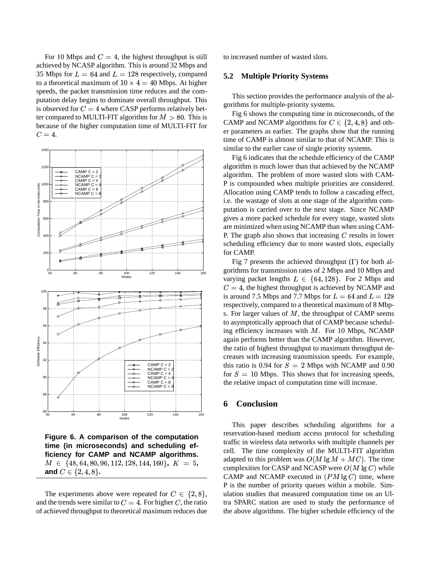For 10 Mbps and  $C = 4$ , the highest throughput is still achieved by NCASP algorithm. This is around 32 Mbps and 35 Mbps for  $L = 64$  and  $L = 128$  respectively, compared to a theoretical maximum of  $10 \times 4 = 40$  Mbps. At higher speeds, the packet transmission time reduces and the computation delay begins to dominate overall throughput. This is observed for  $C = 4$  where CASP performs relatively better compared to MULTI-FIT algorithm for  $M > 80$ . This is because of the higher computation time of MULTI-FIT for  $C=4.$ 



**Figure 6. A comparison of the computation time (in microseconds) and scheduling efficiency for CAMP and NCAMP algorithms.**  $M \in \{48, 64, 80, 96, 112, 128, 144, 160\}, K = 5,$ **and**  $C \in \{2, 4, 8\}$ .

The experiments above were repeated for  $C \in \{2, 8\}$ , ul and the trends were similar to  $C = 4$ . For higher C, the ratio of achieved throughput to theoretical maximum reduces due

to increased number of wasted slots.

#### **5.2 Multiple Priority Systems**

This section provides the performance analysis of the algorithms for multiple-priority systems.

 Fig 6 shows the computing time in microseconds, of the CAMP and NCAMP algorithms for  $C \in \{2, 4, 8\}$  and other parameters as earlier. The graphs show that the running time of CAMP is almost similar to that of NCAMP. This is similar to the earlier case of single priority systems.

Fig 6 indicates that the schedule efficiency of the CAMP algorithm is much lower than that achieved by the NCAMP algorithm. The problem of more wasted slots with CAM-P is compounded when multiple priorities are considered. Allocation using CAMP tends to follow a cascading effect, i.e. the wastage of slots at one stage of the algorithm computation is carried over to the next stage. Since NCAMP gives a more packed schedule for every stage, wasted slots are minimized when using NCAMP than when using CAM-P. The graph also shows that increasing  $C$  results in lower scheduling efficiency due to more wasted slots, especially for CAMP.

Fig 7 presents the achieved throughput  $( \Gamma )$  for both algorithms for transmission rates of 2 Mbps and 10 Mbps and varying packet lengths  $L \in \{64, 128\}$ . For 2 Mbps and  $C = 4$ , the highest throughput is achieved by NCAMP and is around 7.5 Mbps and 7.7 Mbps for  $L = 64$  and  $L = 128$ respectively, compared to a theoretical maximum of 8 Mbps. For larger values of  $M$ , the throughput of CAMP seems to asymptotically approach that of CAMP because scheduling efficiency increases with  $M$ . For 10 Mbps, NCAMP again performs better than the CAMP algorithm. However, the ratio of highest throughput to maximum throughput decreases with increasing transmission speeds. For example, this ratio is 0.94 for  $S = 2$  Mbps with NCAMP and 0.90 for  $S = 10$  Mbps. This shows that for increasing speeds, the relative impact of computation time will increase.

## **6 Conclusion**

This paper describes scheduling algorithms for a reservation-based medium access protocol for scheduling traffic in wireless data networks with multiple channels per cell. The time complexity of the MULTI-FIT algorithm adapted to this problem was  $O(M \lg M + MC)$ . The time complexities for CASP and NCASP were  $O(M \lg C)$  while CAMP and NCAMP executed in  $(PM \lg C)$  time, where P is the number of priority queues within a mobile. Simulation studies that measured computation time on an Ultra SPARC station are used to study the performance of the above algorithms. The higher schedule efficiency of the